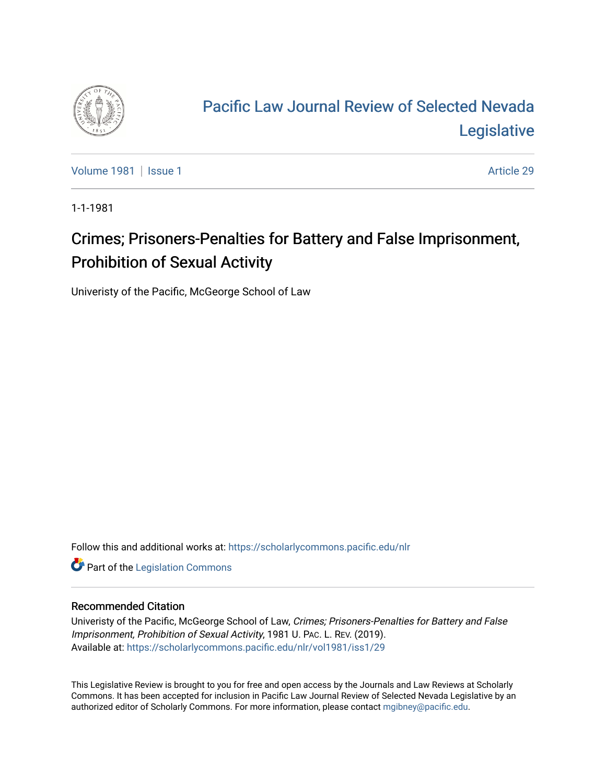

# [Pacific Law Journal Review of Selected Nevada](https://scholarlycommons.pacific.edu/nlr)  [Legislative](https://scholarlycommons.pacific.edu/nlr)

[Volume 1981](https://scholarlycommons.pacific.edu/nlr/vol1981) | [Issue 1](https://scholarlycommons.pacific.edu/nlr/vol1981/iss1) Article 29

1-1-1981

## Crimes; Prisoners-Penalties for Battery and False Imprisonment, Prohibition of Sexual Activity

Univeristy of the Pacific, McGeorge School of Law

Follow this and additional works at: [https://scholarlycommons.pacific.edu/nlr](https://scholarlycommons.pacific.edu/nlr?utm_source=scholarlycommons.pacific.edu%2Fnlr%2Fvol1981%2Fiss1%2F29&utm_medium=PDF&utm_campaign=PDFCoverPages) 

**Part of the [Legislation Commons](http://network.bepress.com/hgg/discipline/859?utm_source=scholarlycommons.pacific.edu%2Fnlr%2Fvol1981%2Fiss1%2F29&utm_medium=PDF&utm_campaign=PDFCoverPages)** 

#### Recommended Citation

Univeristy of the Pacific, McGeorge School of Law, Crimes; Prisoners-Penalties for Battery and False Imprisonment, Prohibition of Sexual Activity, 1981 U. PAC. L. REV. (2019). Available at: [https://scholarlycommons.pacific.edu/nlr/vol1981/iss1/29](https://scholarlycommons.pacific.edu/nlr/vol1981/iss1/29?utm_source=scholarlycommons.pacific.edu%2Fnlr%2Fvol1981%2Fiss1%2F29&utm_medium=PDF&utm_campaign=PDFCoverPages)

This Legislative Review is brought to you for free and open access by the Journals and Law Reviews at Scholarly Commons. It has been accepted for inclusion in Pacific Law Journal Review of Selected Nevada Legislative by an authorized editor of Scholarly Commons. For more information, please contact [mgibney@pacific.edu](mailto:mgibney@pacific.edu).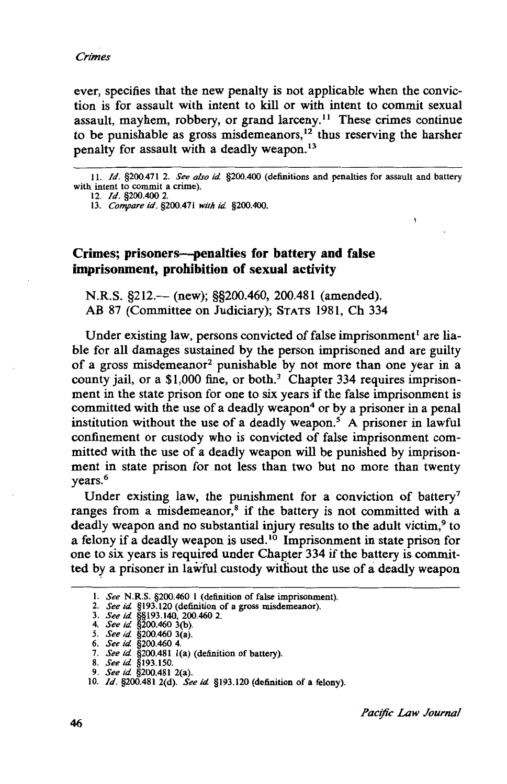ever, specifies that the new penalty is not applicable when the conviction is for assault with intent to kill or with intent to commit sexual assault, mayhem, robbery, or grand larceny. 11 These crimes continue to be punishable as gross misdemeanors,<sup>12</sup> thus reserving the harsher penalty for assault with a deadly weapon.<sup>13</sup>

II. */d.* §200.471 2. *See also id.* §200.400 (definitions and penalties for assault and battery with intent to commit a crime).

12. */d.* §200.400 2.

13. *Compare id.* §200.471 *with id.* §200.400.

#### Crimes; prisoners—penalties for battery and false imprisonment, prohibition of sexual activity

N.R.S. §212.— (new); §§200.460, 200.481 (amended). AB 87 (Committee on Judiciary); STATS 1981, Ch 334

Under existing law, persons convicted of false imprisonment<sup>1</sup> are liable for all damages sustained by the person imprisoned and are guilty of a gross misdemeanor2 punishable by not more than one year in a county jail, or a \$1,000 fine, or both.<sup>3</sup> Chapter 334 requires imprisonment in the state prison for one to six years if the false imprisonment is committed with the use of a deadly weapon<sup>4</sup> or by a prisoner in a penal institution without the use of a deadly weapon.<sup>5</sup> A prisoner in lawful confinement or custody who is convicted of false imprisonment committed with the use of a deadly weapon will be punished by imprisonment in state prison for not less than two but no more than twenty years.<sup>6</sup>

Under existing law, the punishment for a conviction of battery<sup>7</sup> ranges from a misdemeanor,<sup>8</sup> if the battery is not committed with a deadly weapon and no substantial injury results to the adult victim,<sup>9</sup> to a felony if a deadly weapon is used. 10 Imprisonment in state prison for one to six years is required under Chapter 334 if the battery is committed by a prisoner in lawful custody without the use of a deadly weapon

 $\mathbf{I}$ 

I. *See* N.R.S. §200.460 I (definition of false imprisonment).

<sup>2.</sup> *See id.* §193.120 (definition of a gross misdemeanor).

<sup>3.</sup> *See id.* §§193.140, 200.460 2. 4. *See id.* §200.460 3(b).

*<sup>5.</sup> See id.* §200.460 3(a).

<sup>6.</sup> *See id.* §200.460 4.

<sup>7.</sup> *See id.* §200.481 l(a) (definition of battery).

<sup>8.</sup> *See id.* §193.150.

<sup>9.</sup> *See id.* §200.481 2(a).

<sup>10.</sup> */d.* §200.481 2(d). *See id.* §193.120 (definition of a felony).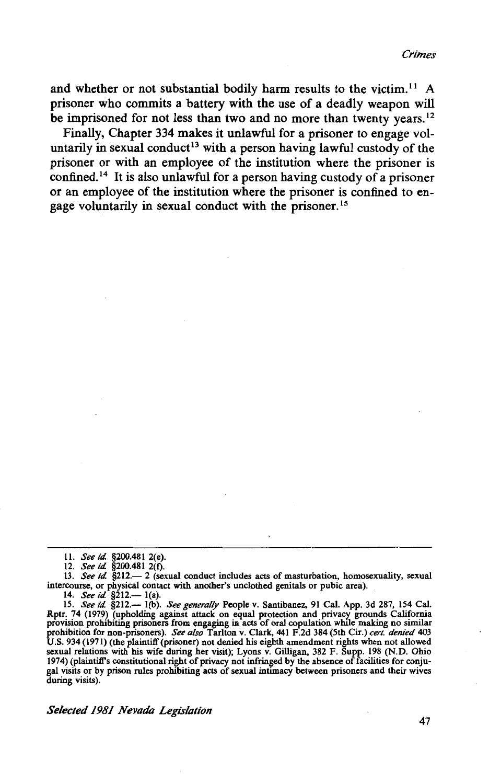and whether or not substantial bodily harm results to the victim.<sup>11</sup> A prisoner who commits a battery with the use of a deadly weapon will be imprisoned for not less than two and no more than twenty years.<sup>12</sup>

Finally, Chapter 334 makes it unlawful for a prisoner to engage voluntarily in sexual conduct<sup>13</sup> with a person having lawful custody of the prisoner or with an employee of the institution where the prisoner is confined.<sup>14</sup> It is also unlawful for a person having custody of a prisoner or an employee of the institution where the prisoner is confined to engage voluntarily in sexual conduct with the prisoner. <sup>15</sup>

*Selected 1981 Nevada Legislation* 

<sup>11.</sup> *See id.* §200.481 2(e).

<sup>12.</sup> *See id* §200.481 2(f).

<sup>13.</sup> *See id* §212.- 2 (sexual conduct includes acts of masturbation, homosexuality, sexual intercourse, or physical contact with another's unclothed genitals or pubic area).<br>14. *See id.* §212.— 1(a).

<sup>15.</sup> *See id* §212.- I (b). *See generally* People v. Santibanez, 91 Cal. App. 3d 287, !54 Cal. Rptr. 74 (1979) (upholding against attack on equal protection and privacy grounds California<br>provision prohibiting prisoners from engaging in acts of oral copulation while making no similar prohibition for non-prisoners). *See also* Tarlton v. Clark, 441 F.2d 384 (5th Cir.) *cert. denied* 403 U.S. 934 (1971) (the plaintiff(prisoner) not denied his eighth amendment rights when not allowed sexual relations with his wife during her visit); Lyons v. Gilligan, 382 F. Supp. 198 (N.D. Ohio 1974) (plaintiff's constitutional right of privacy not infringed by the absence of facilities for conjugal visits or by prison rules prohibiting acts of sexual intimacy between prisoners and their wives during visits).